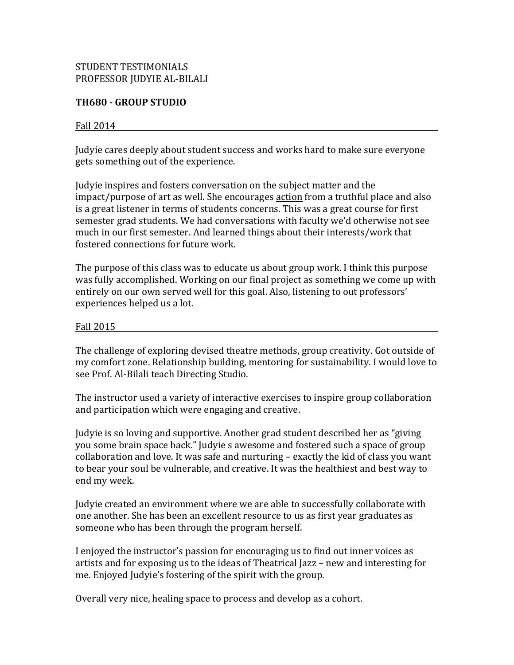# STUDENT TESTIMONIALS PROFESSOR JUDYIE AL-BILALI

# **TH680 - GROUP STUDIO**

### Fall  $2014$

Judyie cares deeply about student success and works hard to make sure everyone gets something out of the experience.

Judyie inspires and fosters conversation on the subject matter and the impact/purpose of art as well. She encourages action from a truthful place and also is a great listener in terms of students concerns. This was a great course for first semester grad students. We had conversations with faculty we'd otherwise not see much in our first semester. And learned things about their interests/work that fostered connections for future work.

The purpose of this class was to educate us about group work. I think this purpose was fully accomplished. Working on our final project as something we come up with entirely on our own served well for this goal. Also, listening to out professors' experiences helped us a lot.

#### Fall 2015

The challenge of exploring devised theatre methods, group creativity. Got outside of my comfort zone. Relationship building, mentoring for sustainability. I would love to see Prof. Al-Bilali teach Directing Studio.

The instructor used a variety of interactive exercises to inspire group collaboration and participation which were engaging and creative.

Judyie is so loving and supportive. Another grad student described her as "giving you some brain space back." Judyie s awesome and fostered such a space of group collaboration and love. It was safe and nurturing – exactly the kid of class you want to bear your soul be vulnerable, and creative. It was the healthiest and best way to end my week.

Judyie created an environment where we are able to successfully collaborate with one another. She has been an excellent resource to us as first year graduates as someone who has been through the program herself.

I enjoyed the instructor's passion for encouraging us to find out inner voices as artists and for exposing us to the ideas of Theatrical Jazz – new and interesting for me. Enjoyed Judyie's fostering of the spirit with the group.

Overall very nice, healing space to process and develop as a cohort.